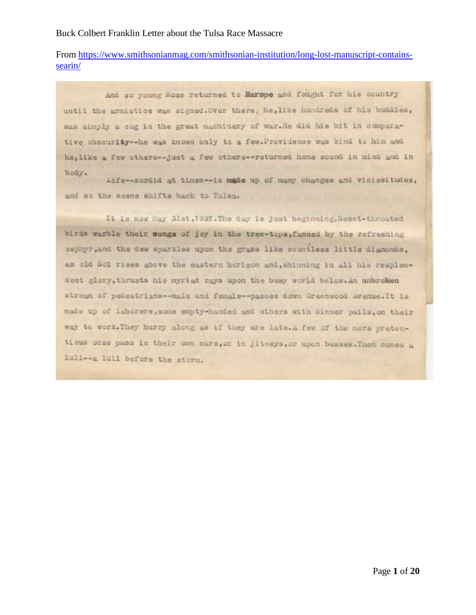# From [https://www.smithsonianmag.com/smithsonian-institution/long-lost-manuscript-contains](https://www.smithsonianmag.com/smithsonian-institution/long-lost-manuscript-contains-searin/)[searin/](https://www.smithsonianmag.com/smithsonian-institution/long-lost-manuscript-contains-searin/)

And so young Hoss returned to Europe and fought for his country until the armistice was signed. Over there, he, like hundreds of his buddies, was simply a cog in the great machinery of war.He did his bit in comparative obscurity -- he was known only to a few. Providence was kind to him and he, like a few sthers--just a few sthers--returned home sound in mind and in body.

Life--sordid at times -- is made up of many changes and vicissitudes, and so the scene shifts back to Tulsa.

It is now Hay SIst, 1921. The day is just beginning. Sweet-throuted birds warble their congs of joy in the tree-tops, fanned by the refreshing nephyr, and the dew sparkles upon the grass like countless little diamonds, as old Sol rises above the eastern horizon and, shinning in all his resplendent glory, thrusts his myriad rays upon the busy world below. An unbroken stream of poiestrians -- male and female -- passes down Greenwood Avenue. It is made up of laborers, some empty-handed and others with dinner pails, on their way to work. They hurry along as if they are late. A few of the more pretentious ones pass in their own cars, or in Jitneys, or upon busses. Then comes a 1ull -- a lull before the storm.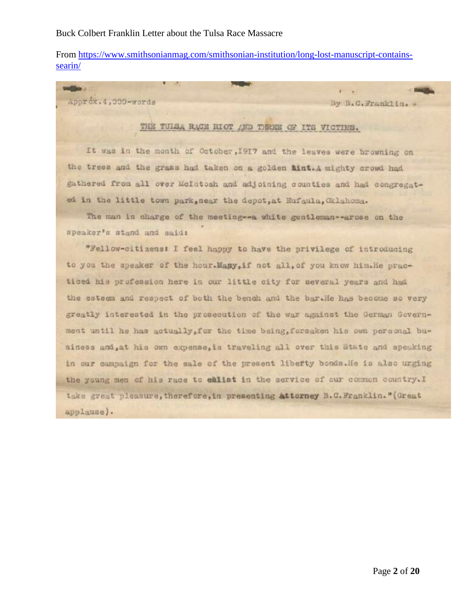From [https://www.smithsonianmag.com/smithsonian-institution/long-lost-manuscript-contains](https://www.smithsonianmag.com/smithsonian-institution/long-lost-manuscript-contains-searin/)[searin/](https://www.smithsonianmag.com/smithsonian-institution/long-lost-manuscript-contains-searin/)

Approx.4,000-words

unitias.

By B.C.Franklin. -

 $\mathbf{1}$ 

## THE TUISA RACE RIOT AND THREE OF ITS VICTIMS.

It was in the month of October, 1917 and the leaves were browning on the trees and the grass had taken on a golden tint.A mighty crowd had gathered from all over McIntosh and adjoining counties and had congregated in the little town park, near the depot, at Eufaula, Oklahoma.

The man in charge of the meeting -- a white gentleman--arose on the speaker's stand and said:

"Fellow-citizens: I feel happy to have the privilege of introducing to you the speaker of the hour. Many, if not all, of you know him. He practiced his profession here in our little city for several years and had the esteem and respect of both the bench and the bar.He has become so very greatly interested in the prosecution of the war against the German Government until he has actually, for the time being, forsaken his own personal business and, at his own expense, is traveling all over this State and speaking in our campaign for the sale of the present liberty bonds. He is also urging the young men of his race to ealist in the service of our common country. I take great pleasure, therefore, in presenting attorney B.C.Franklin." (Great applause).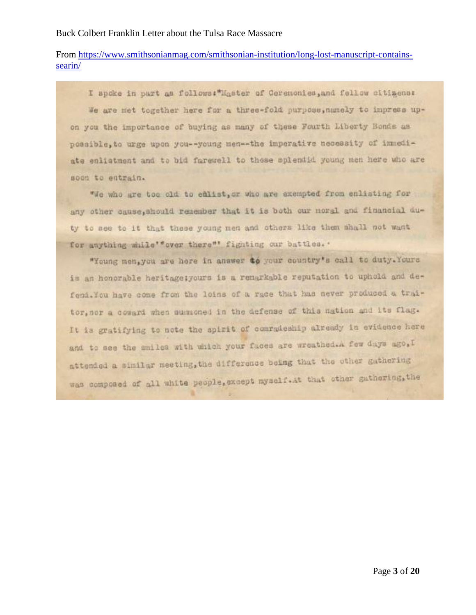# From [https://www.smithsonianmag.com/smithsonian-institution/long-lost-manuscript-contains](https://www.smithsonianmag.com/smithsonian-institution/long-lost-manuscript-contains-searin/)[searin/](https://www.smithsonianmag.com/smithsonian-institution/long-lost-manuscript-contains-searin/)

I spoke in part as follows: "Master of Ceremonies, and follow citizens: We are met together here for a three-fold purpose, namely to impress upon you the importance of buying as many of these Fourth Liberty Bonds as possible, to urge upon you -- young men -- the imperative necessity of immediate enlistment and to bid farewell to those splendid young men here who are soon to entrain.

"We who are too old to emlist, or who are exempted from enlisting for any other cause, should remember that it is both our moral and financial duty to see to it that these young men and others like them shall not want for anything while'"over there"' fighting our battles. '

"Young men, you are here in answer to your country's call to duty. Yours is an honorable heritage; yours is a remarkable reputation to uphold and defend. You have come from the loins of a race that has never produced a traitor, nor a coward when summoned in the defense of this nation and its flag. It is gratifying to note the spirit of comradeship already in evidence here and to see the smiles with which your faces are wreathed.A few days ago, I attended a similar meeting, the difference being that the other gathering was componed of all white people, except myself. At that other gathering, the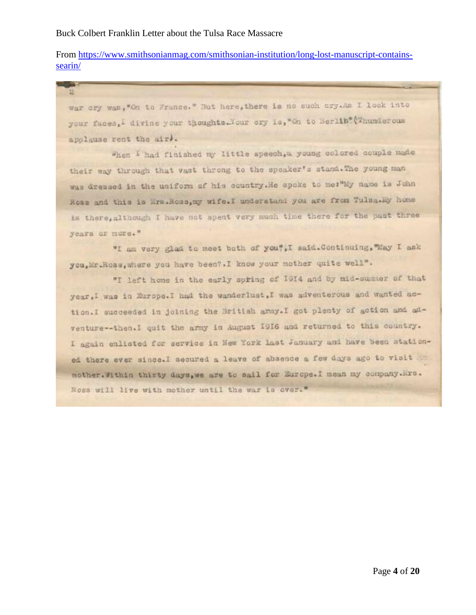From [https://www.smithsonianmag.com/smithsonian-institution/long-lost-manuscript-contains](https://www.smithsonianmag.com/smithsonian-institution/long-lost-manuscript-contains-searin/)[searin/](https://www.smithsonianmag.com/smithsonian-institution/long-lost-manuscript-contains-searin/)

war cry was, "On to France." But here, there is no such cry.Am I look into your faces, I divine your thoughts. Your cry is, "On to Berlin" (Thunderous apolause rent the air.

When I had finished my little speech, a young colored couple made their way through that vast throng to the speaker's stand. The young man was dressed in the uniform of his country. He spoke to me:"My name is John Ross and this is Ers.Ross, my wife.I understand you are from Tulba.Ey home is there, although I have not spent very much time there for the past three years or more."

"I am very glad to meet both of you", I said. Continuing, "May I ask you, Mr. Roas, where you have been?. I know your mother quite well".

"I left home in the early spring of 1914 and by mid-summer of that year, I was in Europe. I had the wanderlust, I was adventerous and wanted action.I succeeded in joining the British amay.I got plenty of action and adventure -- then. I quit the army in August 1916 and returned to this country. I again enlisted for service in New York last January and have been stationed there ever since. I secured a leave of absence a few days ago to visit mother. Minin thirty days, we are to sail for Europe. I mean my company. Mrs. Ross will live with mother until the war is over."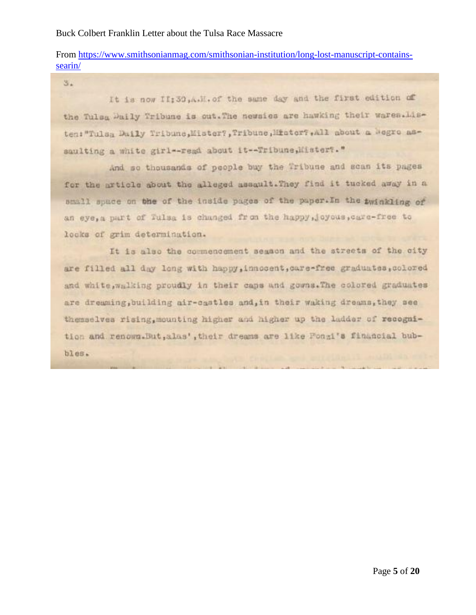# From [https://www.smithsonianmag.com/smithsonian-institution/long-lost-manuscript-contains](https://www.smithsonianmag.com/smithsonian-institution/long-lost-manuscript-contains-searin/)[searin/](https://www.smithsonianmag.com/smithsonian-institution/long-lost-manuscript-contains-searin/)

 $3.$ It is now II; 30, A.H. of the same day and the first edition of the Tulsa Daily Tribune is out. The newsies are hawking their wares. Listen: "Tulsa Daily Tribune, Mister?, Tribune, Mister?, All about a Megro assaulting a white girl -- read about it -- Tribune, Mister?. "

And so thousands of people buy the Tribune and scan its pages for the article about the alleged assault. They find it tucked away in a small space on the of the inside pages of the paper. In the twinkling of an eye, a part of Tulsa is changed from the happy, joyous, care-free to looks of grim determination.

It is also the commencement segmon and the streets of the city are filled all day long with happy, innocent, care-free graduates, colored and white, walking proudly in their caps and gowns. The colored graduates are dreaming, building air-castles and, in their waking dreams, they see themselves rising, mounting higher and higher up the ladder of recognition and renown. But, alas', their dreams are like Pongi's financial bub $bles.$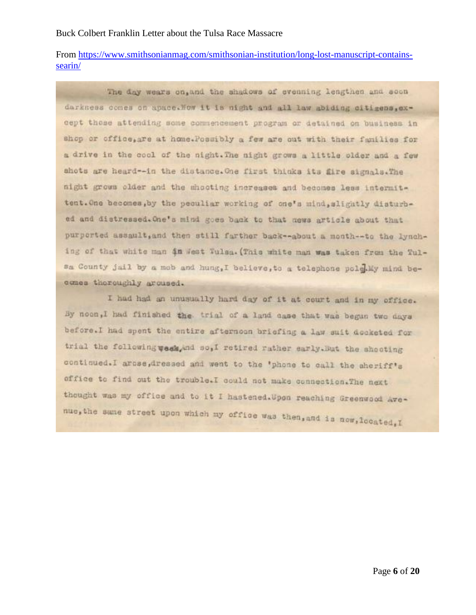From [https://www.smithsonianmag.com/smithsonian-institution/long-lost-manuscript-contains](https://www.smithsonianmag.com/smithsonian-institution/long-lost-manuscript-contains-searin/)[searin/](https://www.smithsonianmag.com/smithsonian-institution/long-lost-manuscript-contains-searin/)

The day wears on, and the shadows of evenning lengthen and soon darkness comes on apace. Now it is night and all law abiding citigens.except those attending some commencement program or detained on business in shop or office, are at home. Possibly a few are out with their families for a drive in the cool of the night. The night grows a little older and a few shots are heard--in the distance. One first thinks its fire signals. The night grows older and the shooting increases and becomes less intermittent. One becomes, by the peculiar working of one's mind, slightly disturbed and distressed. One's mind goes back to that news article about that purperted assault, and then still farther back -- about a month -- to the lynching of that white man in West Tulsa. (This white man was taken from the Tulsa County jail by a mob and hung, I believe, to a telephone pole My mind becomes thoroughly aroused.

I had had an unusually hard day of it at court and in my office. By noon, I had finished the trial of a land case that was begun two days before. I had spent the entire afternoon briefing a law suit decketed for trial the following week, and so, I retired rather early. But the shooting continued.I arcse,dressed and went to the 'phone to call the sheriff's office to find out the trouble.I could not make connection.The next thought was my office and to it I hastened. Upon reaching Greenwood Avenue, the same street upon which my office was then, and is now, located, I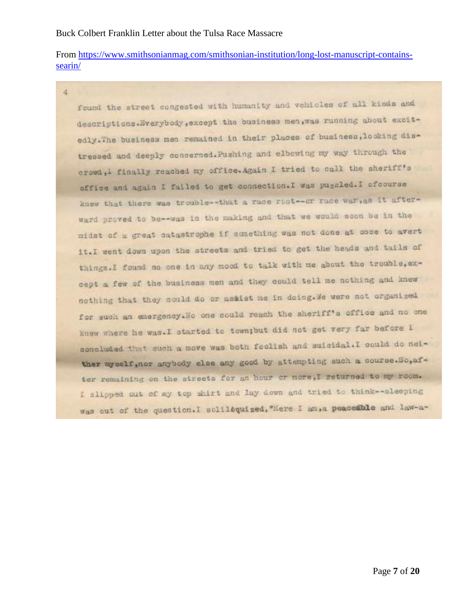From [https://www.smithsonianmag.com/smithsonian-institution/long-lost-manuscript-contains](https://www.smithsonianmag.com/smithsonian-institution/long-lost-manuscript-contains-searin/)[searin/](https://www.smithsonianmag.com/smithsonian-institution/long-lost-manuscript-contains-searin/)

4

found the street congested with humanity and vehicles of all kinds and descriptions.Everybody, except the business men, was running about excitedly. The business men remained in their places of business, looking distressed and deeply concerned. Pushing and elbowing my way through the crowd, I finally reached my office. Again I tried to call the sheriff's office and again I failed to get connection. I was puggled. I ofcourse knew that there was trouble--that a race ruct-or race war, as it afterward proved to be -- was in the making and that we would soon be in the midst of a great catastrophe if something was not done at once to avert it.I went down upon the streets and tried to get the heads and tails of things. I found no one in any mood to talk with me about the trouble, except a few of the business men and they could tell me nothing and knew nothing that they could do or assist me in doing. We were not organized for such an emergency. No one could reach the sheriff's office and no one knew where he was. I started to town; but did not get very far before I concluded that such a move was both foolish and suicidal. I could do neither myself, nor anybody class any good by attempting such a course. So, after remaining on the atreets for an hour or more, I returned to my room. I slipped out of my top shirt and lay down and tried to think -- aleeping was out of the question. I soliloquized, "Here I am, a peaceable and law-a-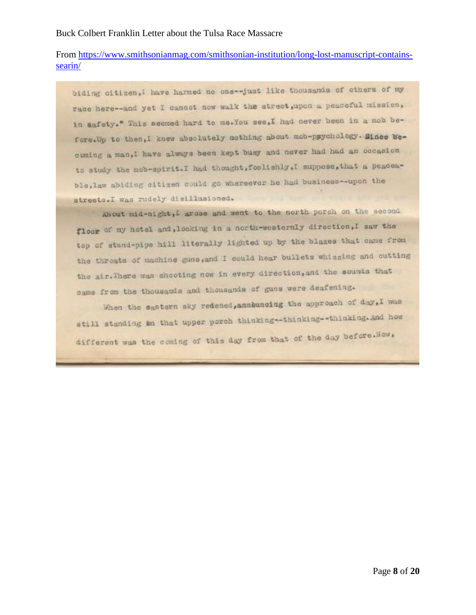# From [https://www.smithsonianmag.com/smithsonian-institution/long-lost-manuscript-contains](https://www.smithsonianmag.com/smithsonian-institution/long-lost-manuscript-contains-searin/)[searin/](https://www.smithsonianmag.com/smithsonian-institution/long-lost-manuscript-contains-searin/)

biding citizen,I have harmed no one--just like thousands of others of my race here -- and yet I cannot now walk the street, upon a peaceful mission, in aafety." This seemed hard to me. You see, I had never been in a mob before. Up to then, I knew absolutely nothing about mob-psychology. Since becoming a man, I have always been kept busy and never had had an occasion to study the mob-spirit. I had thought, foolishly, I suppose, that a peaceable, law abiding citizen could go whereever he had business--upon the streets.I was rudely disillusioned.

About mid-night, I arose and went to the north porch on the second floor of my hotel and, looking in a north-westernly direction, I saw the top of stand-pipe hill literally lighted up by the blazes that came from the throats of machine guns, and I could hear bullets whissing and cutting the air. There was shooting now in every direction, and the sounds that came from the thousands and thousands of guns were deafening.

When the eastern sky redened, announcing the approach of day, I was still standing an that upper porch thinking--thinking--thinking. And how different was the coming of this day from that of the day before. How,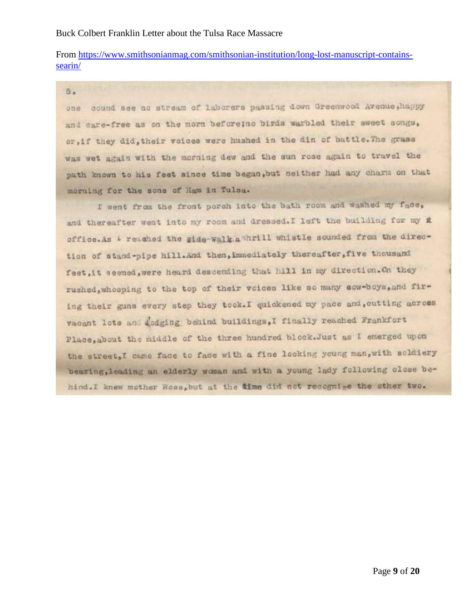# From [https://www.smithsonianmag.com/smithsonian-institution/long-lost-manuscript-contains](https://www.smithsonianmag.com/smithsonian-institution/long-lost-manuscript-contains-searin/)[searin/](https://www.smithsonianmag.com/smithsonian-institution/long-lost-manuscript-contains-searin/)

5.

one cound see no stream of laborers passing down Greenwood Avenue, happy and care-free as on the morn before; no birds warbled their sweet songs, or, if they did, their voices were hushed in the din of battle. The grass was wet again with the morning dew and the sun rose again to travel the path known to his feet since time began, but neither had any charm on that morning for the sons of Ham in Tulsa.

I went from the front porch into the bath room and washed my face, and thereafter went into my room and dressed. I left the building for my # office.As i reached the side-walk a hrill whistle sounded from the direction of stand-pipe hill.And then, immediately thereafter, five thousand feet, it seemed, were heard descending that hill in my direction. On they rushed, whooping to the top of their voices like so many cow-boys, and firing their guns every step they took. I quickened my pace and, cutting across vacant lots and dedging behind buildings, I finally reached Frankfort Place, about the middle of the three hundred block. Just as I emerged upon the street, I came face to face with a fine looking young man, with soldiery bearing, leading an elderly woman and with a young lady following close behind. I knew mother Ross, but at the time did not recognize the other two.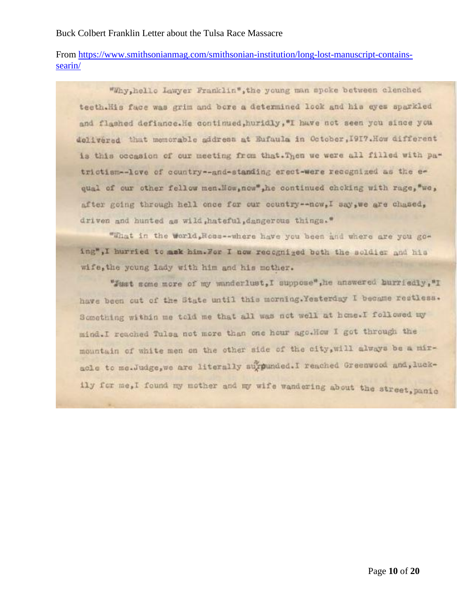From [https://www.smithsonianmag.com/smithsonian-institution/long-lost-manuscript-contains](https://www.smithsonianmag.com/smithsonian-institution/long-lost-manuscript-contains-searin/)[searin/](https://www.smithsonianmag.com/smithsonian-institution/long-lost-manuscript-contains-searin/)

"Why, hello Lawyer Franklin", the young man spoke between clenched teeth.His face was grim and bore a determined look and his eyes sparkled and flashed defiance. He continued, huridly, "I have not seen you since you delivered that memorable address at Eufaula in October, I917. How different is this occasion of our meeting from that. Then we were all filled with patrictism -- love of country -- and-standing erect-were recognized as the equal of our other fellow men. Mow, now", he continued choking with rage, "we, after going through hell once for our country -- now, I say, we are chased, driven and hunted as wild, hateful, dangerous things."

"What in the world, Noss--where have you been and where are you going", I hurried to mak him. For I now recognized both the soldier and his wife, the young lady with him and his mother.

"Just some more of my wanderlust, I suppose", he answered burriedly, "I have been out of the State until this morning. Yesterday I became restless. Something within me told me that all was not well at home. I followed my mind. I reached Tulsa not more than one hour ago. How I got through the mountain of white men on the other side of the city, will always be a miracle to me.Judge, we are literally surpunded. I reached Greenwood and, luckily for me, I found my mother and my wife wandering about the street, panic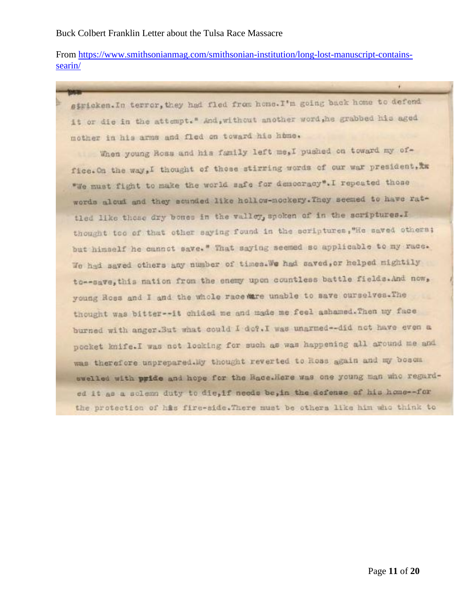From [https://www.smithsonianmag.com/smithsonian-institution/long-lost-manuscript-contains](https://www.smithsonianmag.com/smithsonian-institution/long-lost-manuscript-contains-searin/)[searin/](https://www.smithsonianmag.com/smithsonian-institution/long-lost-manuscript-contains-searin/)

stricken. In terror, they had fled from home. I'm going back home to defend it or die in the attempt." And, without another word, he grabbed his aged mother in his arms and fled on toward his home.

When young Ross and his family left me, I pushed on toward my office. On the way, I thought of those stirring words of our war president, the "We must fight to make the world safe for democracy". I repeated those words alout and they sounded like hollow-mockery. They seemed to have rattled like those dry bones in the valloy, spoken of in the scriptures. I thought too of that other saying found in the scriptures, "He saved others; but himself he cannot save." That saying seemed so applicable to my race. We had saved others any number of times. We had saved, or helped mightily to--save, this nation from the enemy upon countless battle fields. And now, young Ross and I and the whole race mare unable to save ourselves. The thought was bitter -- it chided me and made me feel ashamed. Then my face burned with anger.But what could I do?.I was unarmed -- did not have even a pocket knife. I was not looking for such as was happening all around me and was therefore unprepared.My thought reverted to Hoas again and my bosom swelled with pride and hope for the Bace.Here was one young man who regarded it as a sclemm duty to die, if needs be, in the defense of his home-for the protection of his fire-side. There must be others like him who think to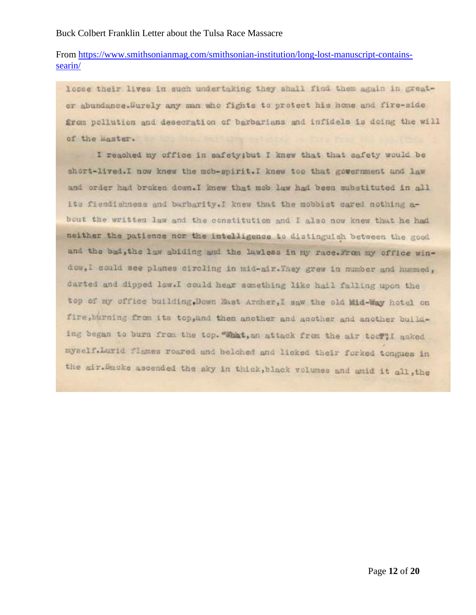# From [https://www.smithsonianmag.com/smithsonian-institution/long-lost-manuscript-contains](https://www.smithsonianmag.com/smithsonian-institution/long-lost-manuscript-contains-searin/)[searin/](https://www.smithsonianmag.com/smithsonian-institution/long-lost-manuscript-contains-searin/)

loose their lives in such undertaking they shall find them again in greater abundance. Surely any man who fights to protect his home and fire-side from pollution and desecration of barbarians and infidels is doing the will of the master.

I reached my office in safety; but I knew that that safety would be short-lived.I now knew the mob-spirit.I knew too that government and law and order had broken down. I knew that mob law had been substituted in all its fiendishness and barbarity. I knew that the mobbist cared nothing about the written law and the constitution and I also now knew that he had neither the patience nor the intelligence to distinguish between the good and the bad, the law abiding and the lawless in my race. From my office window, I could see planes circling in mid-air. They grew in number and hummed, darted and dipped low.I could hear something like hail falling upon the top of my office building. Down East Archer, I saw the old Mid-Way hotel on fire, burning from its top, and then another and another and another building began to burn from the top. "What, an attack from the air tool"! asked myself.Lurid flames roared and belched and licked their forked tongues in the mir. Smoke ascended the sky in thick, black volumes and anid it all, the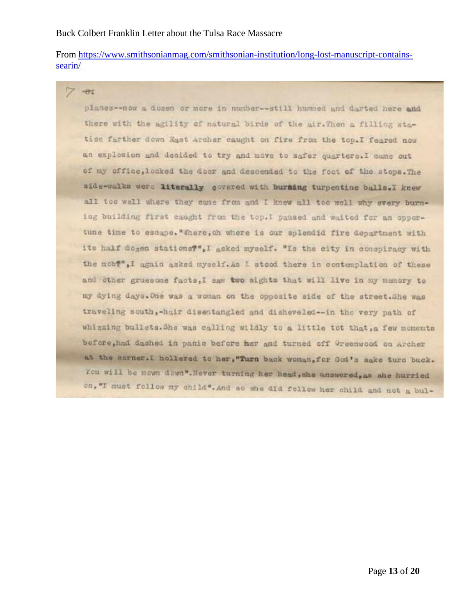From [https://www.smithsonianmag.com/smithsonian-institution/long-lost-manuscript-contains](https://www.smithsonianmag.com/smithsonian-institution/long-lost-manuscript-contains-searin/)[searin/](https://www.smithsonianmag.com/smithsonian-institution/long-lost-manuscript-contains-searin/)

 $-0.7$ 

planes--now a dozen or more in number -- still hummed and darted here and there with the agility of natural birds of the air. Then a filling station farther down East Archer caught on fire from the top.I feared now an explosion and decided to try and move to safer quarters. I came out of my office, looked the door and descended to the foot of the steps. The side-walks were literally govered with burning turpentine balls. I knew all too well where they came from and I knew all too well why every burning building first caught from the top. I paused and waited for an opportune time to escape. "There, ch where is our splendid fire department with its half dogen stations?", I geked myself. "Is the city in conspiracy with the mob?",I again asked myself. As I stood there in contemplation of these and other gruesome facts, I saw two sights that will live in my mamory to my dying days. One was a woman on the opposite side of the street. She was traveling south,-hair disentangled and disheveled -- in the very path of whizzing bullets. She was calling wildly to a little tot that, a few moments before, had dashed in panic before her and turned off Greenwood on Archer at the corner.I hollered to her, "Turn back woman, for God's sake turn back. You will be mown down". Never turning her head, she answered, as she hurried on, "I must follow my child". And so she did follow her child and not a bul-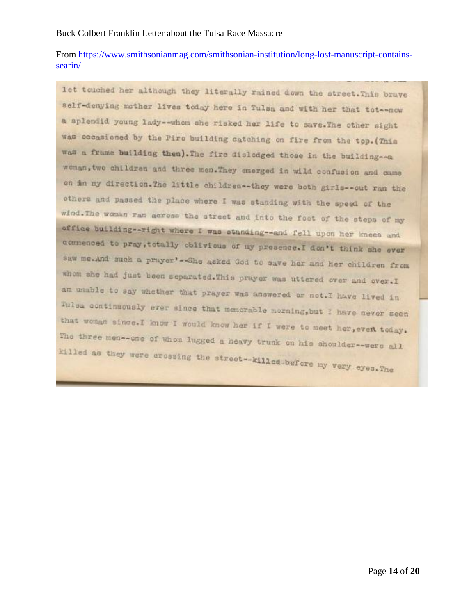From [https://www.smithsonianmag.com/smithsonian-institution/long-lost-manuscript-contains](https://www.smithsonianmag.com/smithsonian-institution/long-lost-manuscript-contains-searin/)[searin/](https://www.smithsonianmag.com/smithsonian-institution/long-lost-manuscript-contains-searin/)

let touched her although they literally rained down the street. This brave self-denying mother lives today here in Tulsa and with her that tot-now a splendid young lady--whom she risked her life to save. The other sight was cocasioned by the Piro building catching on fire from the top. (This was a frame building then). The fire dislodged those in the building -- a woman, two children and three men. They emerged in wild confusion and came on min my direction. The little children -- they were both girls -- out ran the others and passed the place where I was standing with the speed of the wind. The woman ran across the street and into the foot of the steps of my office building -- right where I was standing -- and fell upon her knees and commenced to pray, totally oblivious of my presence. I don't think she ever saw me.And such a prayer' -- She asked God to save her and her children from whom ahe had just been separated. This prayer was uttered over and over. I am unable to say whether that prayer was answered or not. I have lived in Tulsa continuously ever since that memorable morning, but I have never seen that woman since. I know I would know her if I were to meet her, even today. The three men -- one of whom lugged a heavy trunk on his shoulder -- were all killed as they were crossing the street--killed before my very eyes. The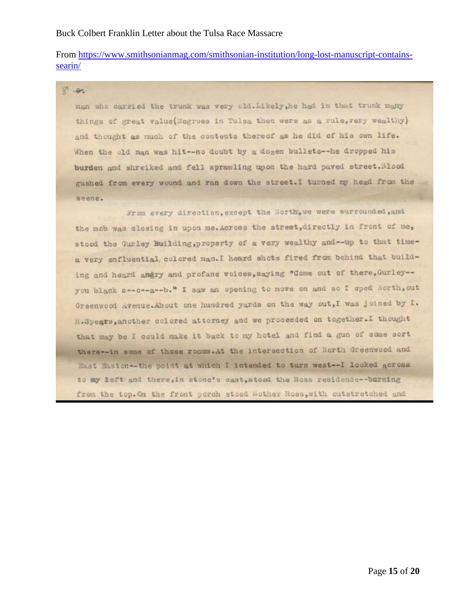# From [https://www.smithsonianmag.com/smithsonian-institution/long-lost-manuscript-contains](https://www.smithsonianmag.com/smithsonian-institution/long-lost-manuscript-contains-searin/)[searin/](https://www.smithsonianmag.com/smithsonian-institution/long-lost-manuscript-contains-searin/)

### $8 - 8.$

man who carried the trunk was very cld. Likely, he had in that trunk many things of great value(Negroes in Tulsa then were as a rule, very wealthy) and thought as much of the contents thereof as he did of his own life. When the old man was hit -- no doubt by a dogen bullets -- he dropped his burden and shreiked and fell sprawling upon the hard paved street. Blood gushed from every wound and ran down the street. I turned my head from the Beene.

Wrom every direction, except the North, we were surrounded, and the mob was closing in upon me. Across the street, directly in front of me, stood the Gurley Building, property of a very wealthy and -- up to that timea very enfluential, colored man. I heard shots fired from behind that building and heard angry and profane voices, aaying "Come out of there, Gurley -you black a -- o -- a -- b. " I saw an opening to nove on and so I sped Morth, out Greenwood Avenue. About one hundred yards on the way out, I was joined by I. H.Spears, another colored attorney and we proceeded on together. I thought that may be I could make it back to my hotel and find a gun of some sort there--in some of these rooms.At the intersection of North Greenwood and East Easton--the point at which I intended to turn west--I looked across to my left and there, in stone's cast, stood the Ross residence--burning from the top. On the front porch stood Mother Ross, with cutstratched and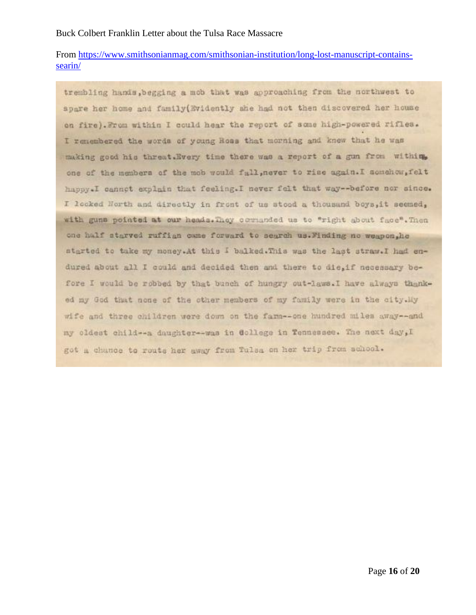# From [https://www.smithsonianmag.com/smithsonian-institution/long-lost-manuscript-contains](https://www.smithsonianmag.com/smithsonian-institution/long-lost-manuscript-contains-searin/)[searin/](https://www.smithsonianmag.com/smithsonian-institution/long-lost-manuscript-contains-searin/)

trembling hands, begging a mob that was approaching from the northwest to spare her home and family (Evidently she had not then discovered her house on fire). From within I could hear the report of some high-powered rifles. I remembered the words of young Ross that morning and knew that he was making good his threat. Every time there was a report of a gun from withing one of the members of the mob would full, never to rise again. I somehow, felt happy. I cannot explain that feeling. I never felt that way--before nor since. I looked Horth and directly in front of us stood a thousand boys, it seemed, with guns pointed at our heads. They commanded us to "right about face". Then one half starved ruffian came forward to search us. Minding no weapon, he started to take my money. At this I balked. This was the last straw. I had endured about all I could and decided then and there to die, if necessary before I would be robbed by that bunch of hungry out-laws. I have always thanked my God that none of the other members of my family were in the city. My wife and three children were down on the farm--one hundred miles away--and my oldest child -- a daughter -- was in Gollege in Tennessee. The next day, I got a chunce to route her away from Tulsa on her trip from school.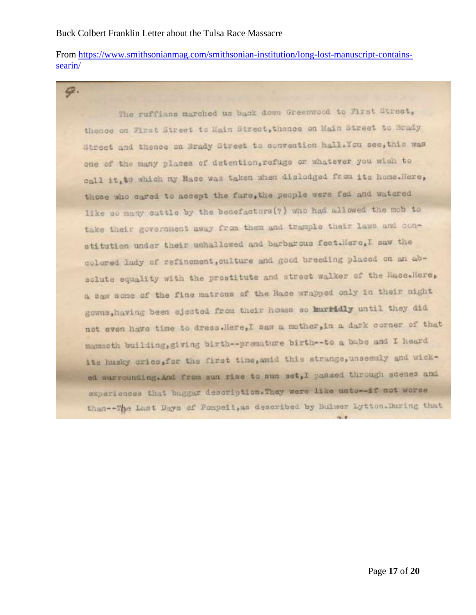9.

From [https://www.smithsonianmag.com/smithsonian-institution/long-lost-manuscript-contains](https://www.smithsonianmag.com/smithsonian-institution/long-lost-manuscript-contains-searin/)[searin/](https://www.smithsonianmag.com/smithsonian-institution/long-lost-manuscript-contains-searin/)

The ruffians marched us back down Greenwood to First Street, thence on First Street to Main Street, thence on Main Street to Brady Street and thence on Brady Street to convention hall. You see, this was one of the many places of detention, refuge or whatever you wish to call it, to which my Hace was taken when disladged from its home. Here, those who cared to accept the fare, the people were fed and watered like so many cattle by the benefactors(?) who had allowed the mob to take their government away from them and trample their laws and constitution under their unhallowed and barbarous feet.Here,I saw the colored lady of refinement, culture and good breeding placed on an absolute equality with the prostitute and street walker of the Hace. Here, a saw some of the fine matrons of the Race wrapped only in their night gowns, having been ejected from their homes so hurridly until they did not even have time to dress.Here,I saw a mother, in a dark corner of that mammoth building, giving birth--premature birth--to a babe and I heard its husky cries, for the first time, amid this strange, unseemly and wicked surrounding. And from sun rise to sun set, I passed through scenes and experiences that baggar description. They were like unto--if not worse than --The Last Days of Pompeii, as described by Bulwer Lytton. During that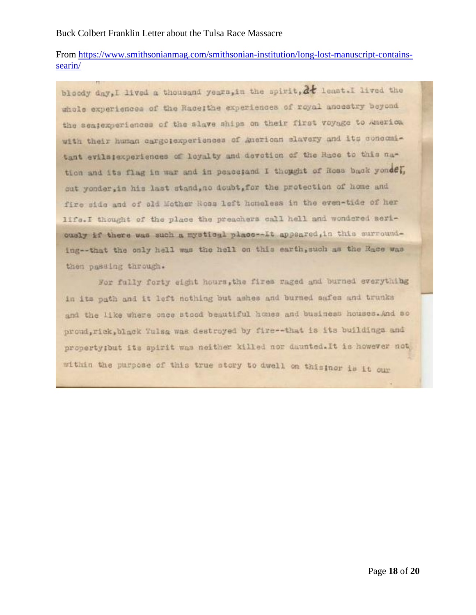# From [https://www.smithsonianmag.com/smithsonian-institution/long-lost-manuscript-contains](https://www.smithsonianmag.com/smithsonian-institution/long-lost-manuscript-contains-searin/)[searin/](https://www.smithsonianmag.com/smithsonian-institution/long-lost-manuscript-contains-searin/)

bloody day, I lived a thousand years, in the spirit, at least. I lived the whole experiences of the Raceithe experiences of royal ancestry beyond the seatexperiences of the slave ships on their first voyage to America with their human cargotexperiences of American slavery and its concemitant evilatexperiences of loyalty and devetion of the Race to this nation and its flag in war and in peace; and I thought of Ross back yondel, out yonder, in his last stand, no doubt, for the protection of home and fire side and of old Mother Ross left honeless in the even-tide of her life.I thought of the place the preachers call hell and wondered seriously if there was such a mystical place -- It appeared, in this surrounding--that the only hell was the hell on this earth, such as the Race was then passing through.

For fully forty eight hours, the fires raged and burned everything in its path and it left nothing but ashes and burned safes and trunks and the like where once stood beautiful homes and business houses. And so proud, rick, black Tulsa was destroyed by fire -- that is its buildings and property; but its spirit was neither killed nor daunted. It is however not within the purpose of this true story to dwell on this nor is it our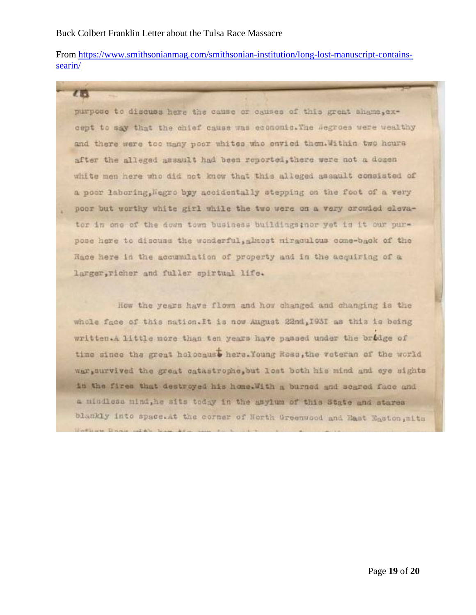【后】

From [https://www.smithsonianmag.com/smithsonian-institution/long-lost-manuscript-contains](https://www.smithsonianmag.com/smithsonian-institution/long-lost-manuscript-contains-searin/)[searin/](https://www.smithsonianmag.com/smithsonian-institution/long-lost-manuscript-contains-searin/)

purpose to discuss here the cause or causes of this great shame, except to say that the chief cause was economic. The segroes were wealthy and there were too many poor whites who envied them. Within two hours after the alleged assault had been reported, there were not a dogen white men here who did not know that this alleged assault consisted of a poor laboring, Negro byy accidentally atepping on the foot of a very poor but worthy white girl while the two were on a very crowled elevator in one of the down town business buildings; nor yet is it our purpose here to discuss the wonderful, almost miraculous come-back of the Race here in the accumulation of property and in the acquiring of a larger, richer and fuller spirtual life.

How the years have flown and how changed and changing is the whole face of this nation. It is now August 22nd, 1931 as this is being written.A little more than ten years have passed under the bridge of time since the great holocaust here. Young Ross, the veteran of the world war, survived the great catastrophe, but lest both his mind and eye sights in the fires that destroyed his home. With a burned and soared face and a mindless mind, he sits today in the asylum of this State and stares blankly into space. At the corner of North Greenwood and East Easton, mits